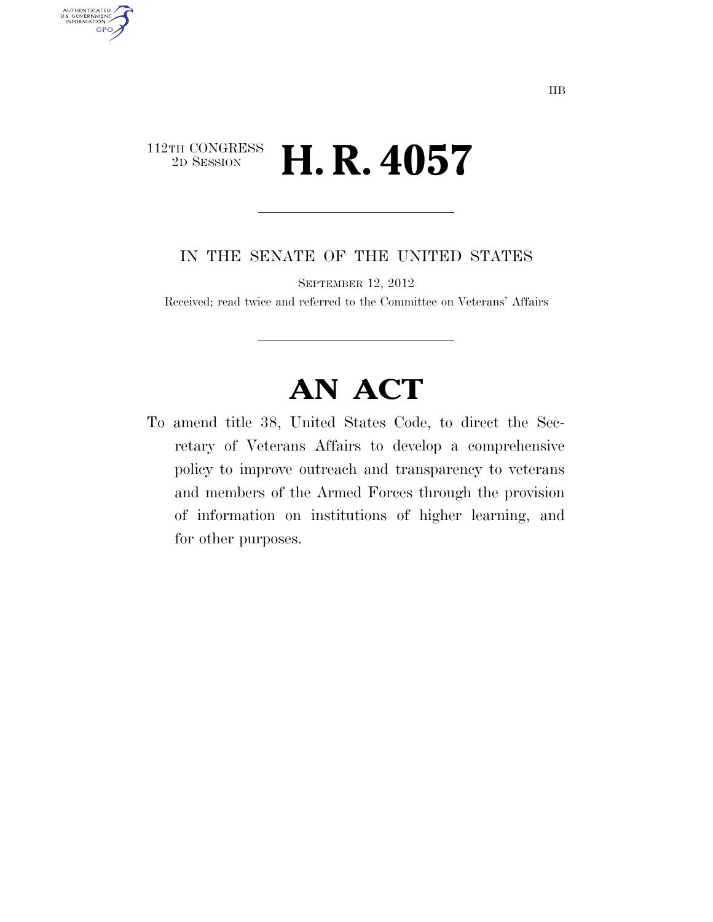## $\begin{array}{c} \textbf{112TH CONGRESS} \\ \textbf{2D SESION} \end{array}$ 2D SESSION **H. R. 4057**

AUTHENTICATED<br>U.S. GOVERNMENT<br>INFORMATION **GPO** 

IN THE SENATE OF THE UNITED STATES

SEPTEMBER 12, 2012

Received; read twice and referred to the Committee on Veterans' Affairs

## **AN ACT**

To amend title 38, United States Code, to direct the Secretary of Veterans Affairs to develop a comprehensive policy to improve outreach and transparency to veterans and members of the Armed Forces through the provision of information on institutions of higher learning, and for other purposes.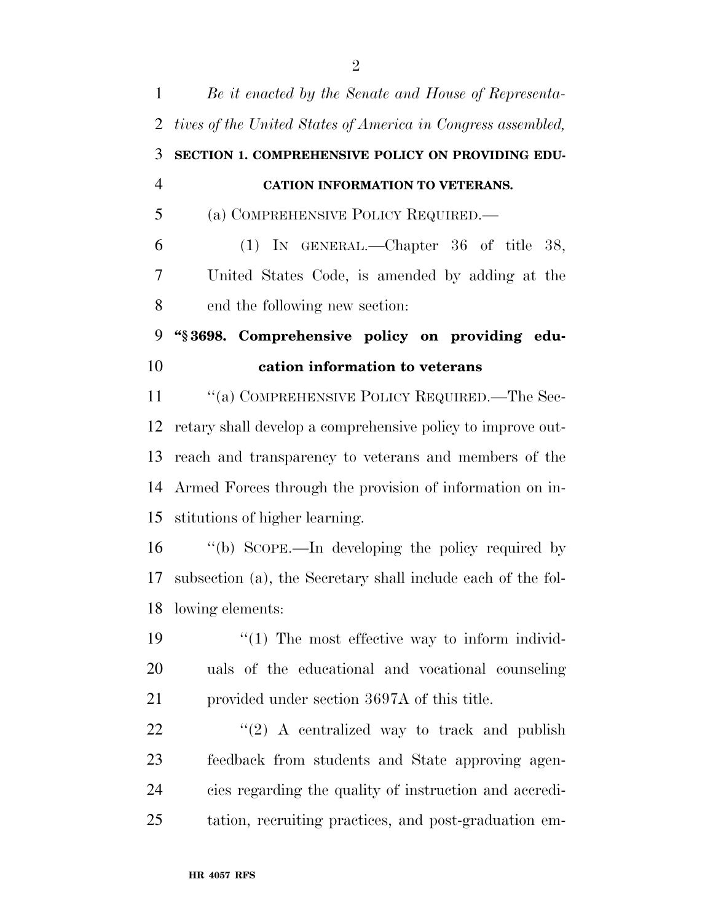| $\mathbf{1}$   | Be it enacted by the Senate and House of Representa-         |
|----------------|--------------------------------------------------------------|
| 2              | tives of the United States of America in Congress assembled, |
| 3              | SECTION 1. COMPREHENSIVE POLICY ON PROVIDING EDU-            |
| $\overline{4}$ | CATION INFORMATION TO VETERANS.                              |
| 5              | (a) COMPREHENSIVE POLICY REQUIRED.—                          |
| 6              | (1) IN GENERAL.—Chapter $36$ of title $38$ ,                 |
| 7              | United States Code, is amended by adding at the              |
| 8              | end the following new section:                               |
| 9              | "§3698. Comprehensive policy on providing edu-               |
| 10             | cation information to veterans                               |
| 11             | "(a) COMPREHENSIVE POLICY REQUIRED.—The Sec-                 |
| 12             | retary shall develop a comprehensive policy to improve out-  |
| 13             | reach and transparency to veterans and members of the        |
|                | 14 Armed Forces through the provision of information on in-  |
|                |                                                              |
| 15             | stitutions of higher learning.                               |
| 16             | "(b) SCOPE.—In developing the policy required by             |
| 17             | subsection (a), the Secretary shall include each of the fol- |
|                | 18 lowing elements:                                          |
| 19             | $\lq(1)$ The most effective way to inform individ-           |
| 20             | uals of the educational and vocational counseling            |
| 21             | provided under section 3697A of this title.                  |
| 22             | $\lq(2)$ A centralized way to track and publish              |
| 23             | feedback from students and State approving agen-             |
| 24             | cies regarding the quality of instruction and accredi-       |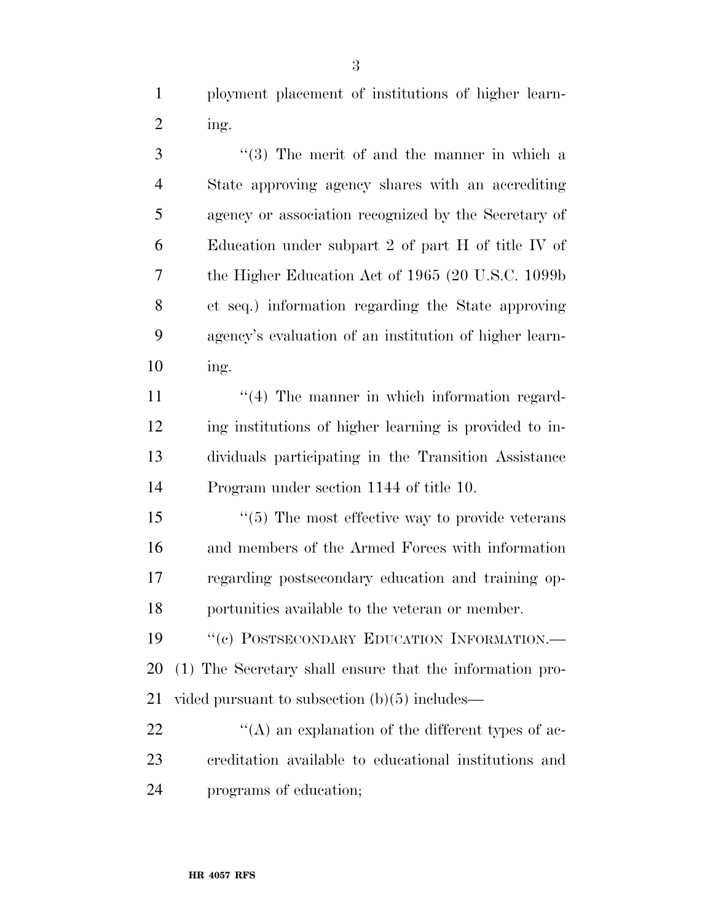ployment placement of institutions of higher learn-ing.

 ''(3) The merit of and the manner in which a State approving agency shares with an accrediting agency or association recognized by the Secretary of Education under subpart 2 of part H of title IV of the Higher Education Act of 1965 (20 U.S.C. 1099b et seq.) information regarding the State approving agency's evaluation of an institution of higher learn-ing.

11 ''(4) The manner in which information regard- ing institutions of higher learning is provided to in- dividuals participating in the Transition Assistance Program under section 1144 of title 10.

 ''(5) The most effective way to provide veterans and members of the Armed Forces with information regarding postsecondary education and training op-portunities available to the veteran or member.

19 "(c) POSTSECONDARY EDUCATION INFORMATION.— (1) The Secretary shall ensure that the information pro-vided pursuant to subsection (b)(5) includes—

22  $\langle A \rangle$  an explanation of the different types of ac- creditation available to educational institutions and programs of education;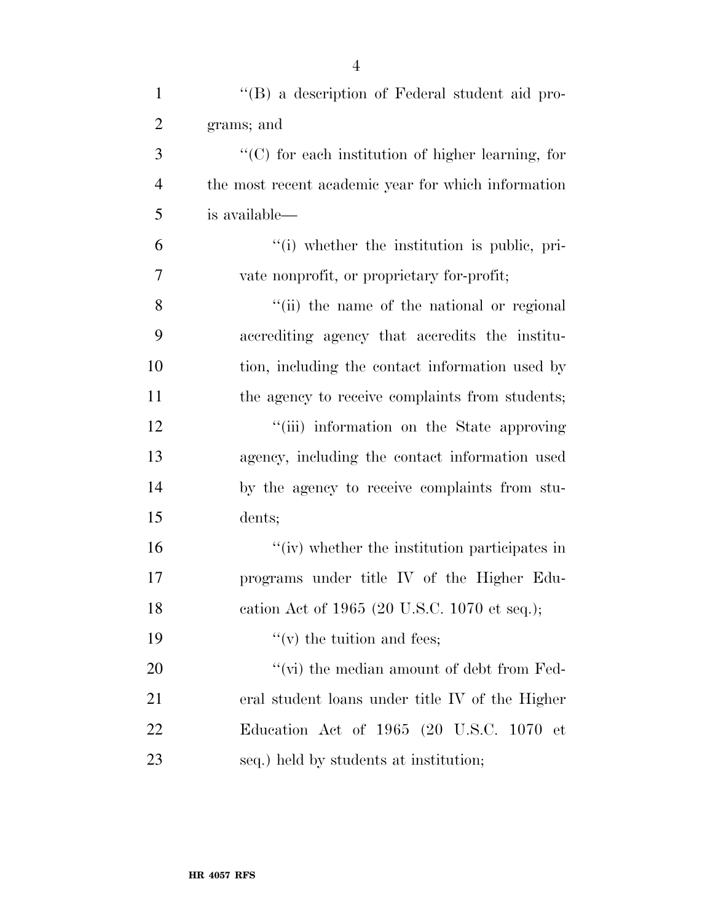| $\mathbf{1}$   | "(B) a description of Federal student aid pro-      |
|----------------|-----------------------------------------------------|
| $\overline{2}$ | grams; and                                          |
| 3              | "(C) for each institution of higher learning, for   |
| $\overline{4}$ | the most recent academic year for which information |
| 5              | is available—                                       |
| 6              | "(i) whether the institution is public, pri-        |
| $\overline{7}$ | vate nonprofit, or proprietary for-profit;          |
| 8              | "(ii) the name of the national or regional          |
| 9              | accrediting agency that accredits the institu-      |
| 10             | tion, including the contact information used by     |
| 11             | the agency to receive complaints from students;     |
| 12             | "(iii) information on the State approving           |
| 13             | agency, including the contact information used      |
| 14             | by the agency to receive complaints from stu-       |
| 15             | dents;                                              |
| 16             | "(iv) whether the institution participates in       |
| 17             | programs under title IV of the Higher Edu-          |
| 18             | cation Act of 1965 (20 U.S.C. 1070 et seq.);        |
| 19             | $f'(v)$ the tuition and fees;                       |
| 20             | " $(vi)$ the median amount of debt from Fed-        |
| 21             | eral student loans under title IV of the Higher     |
| 22             | Education Act of 1965 (20 U.S.C. 1070 et            |
| 23             | seq.) held by students at institution;              |

4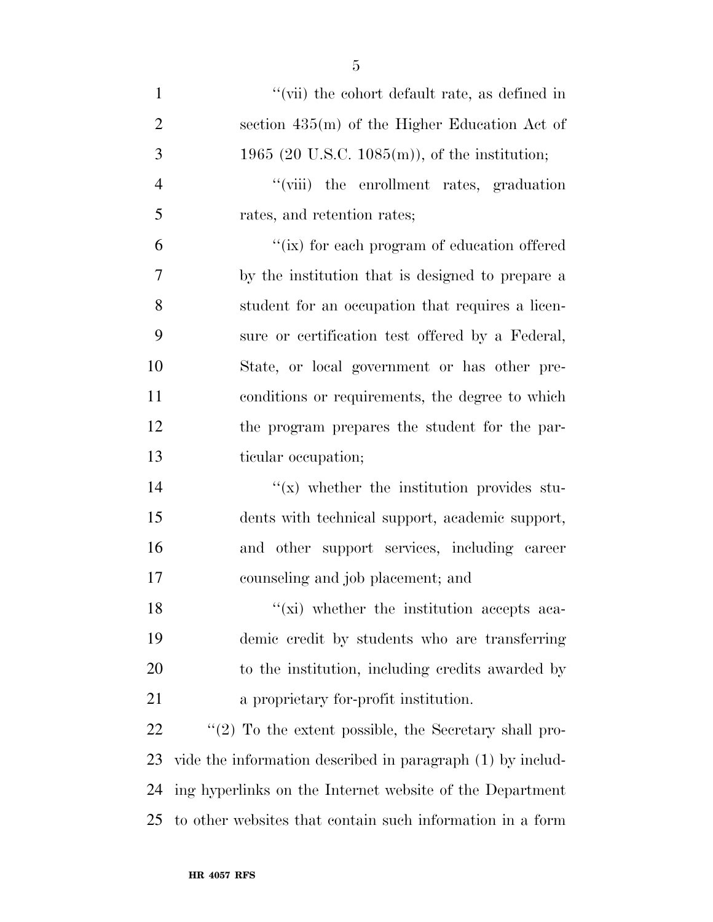| $\mathbf{1}$   | "(vii) the cohort default rate, as defined in              |
|----------------|------------------------------------------------------------|
| $\overline{2}$ | section 435(m) of the Higher Education Act of              |
| 3              | 1965 (20 U.S.C. 1085(m)), of the institution;              |
| $\overline{4}$ | "(viii) the enrollment rates, graduation                   |
| 5              | rates, and retention rates;                                |
| 6              | "(ix) for each program of education offered                |
| 7              | by the institution that is designed to prepare a           |
| 8              | student for an occupation that requires a licen-           |
| 9              | sure or certification test offered by a Federal,           |
| 10             | State, or local government or has other pre-               |
| 11             | conditions or requirements, the degree to which            |
| 12             | the program prepares the student for the par-              |
| 13             | ticular occupation;                                        |
| 14             | $f(x)$ whether the institution provides stu-               |
| 15             | dents with technical support, academic support,            |
| 16             | and other support services, including career               |
| 17             | counseling and job placement; and                          |
| 18             | "(xi) whether the institution accepts aca-                 |
| 19             | demic credit by students who are transferring              |
| 20             | to the institution, including credits awarded by           |
| 21             | a proprietary for-profit institution.                      |
| 22             | $\lq(2)$ To the extent possible, the Secretary shall pro-  |
| 23             | vide the information described in paragraph (1) by includ- |
| 24             | ing hyperlinks on the Internet website of the Department   |
| 25             | to other websites that contain such information in a form  |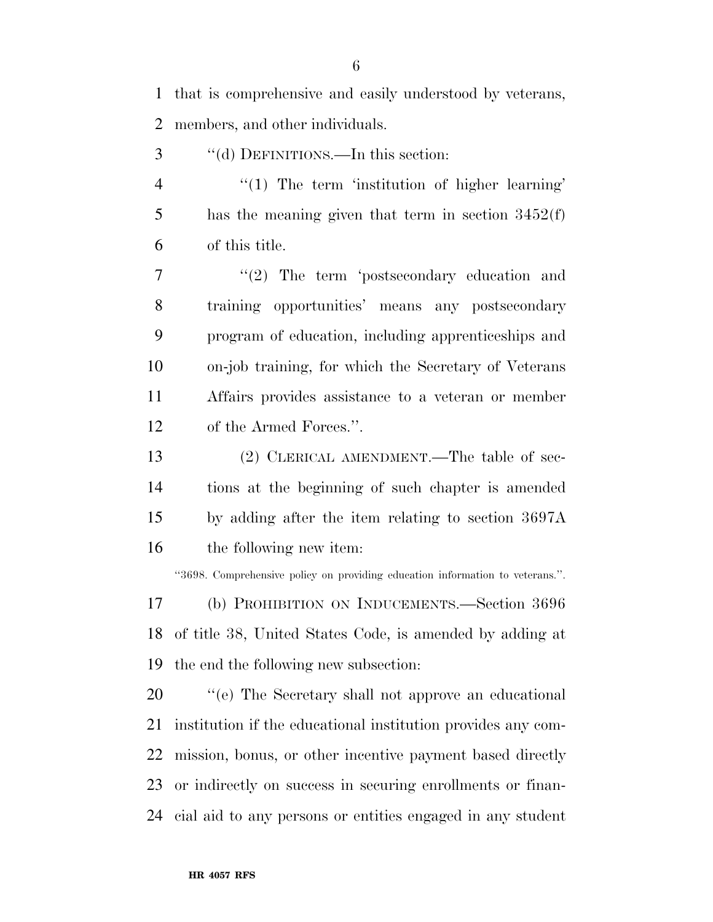that is comprehensive and easily understood by veterans, members, and other individuals.

- 3 "(d) DEFINITIONS.—In this section:
- 4 "(1) The term 'institution of higher learning' has the meaning given that term in section 3452(f) of this title.

7 "(2) The term 'postsecondary education and training opportunities' means any postsecondary program of education, including apprenticeships and on-job training, for which the Secretary of Veterans Affairs provides assistance to a veteran or member of the Armed Forces.''.

 (2) CLERICAL AMENDMENT.—The table of sec- tions at the beginning of such chapter is amended by adding after the item relating to section 3697A the following new item:

''3698. Comprehensive policy on providing education information to veterans.''.

 (b) PROHIBITION ON INDUCEMENTS.—Section 3696 of title 38, United States Code, is amended by adding at the end the following new subsection:

 $\%$  (e) The Secretary shall not approve an educational institution if the educational institution provides any com- mission, bonus, or other incentive payment based directly or indirectly on success in securing enrollments or finan-cial aid to any persons or entities engaged in any student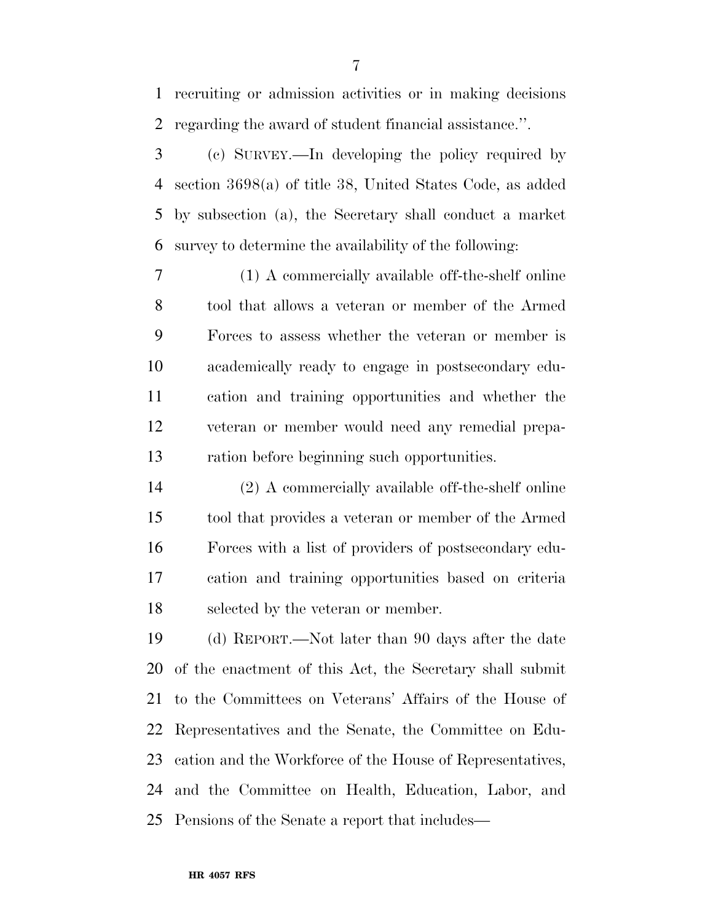recruiting or admission activities or in making decisions regarding the award of student financial assistance.''.

 (c) SURVEY.—In developing the policy required by section 3698(a) of title 38, United States Code, as added by subsection (a), the Secretary shall conduct a market survey to determine the availability of the following:

 (1) A commercially available off-the-shelf online tool that allows a veteran or member of the Armed Forces to assess whether the veteran or member is academically ready to engage in postsecondary edu- cation and training opportunities and whether the veteran or member would need any remedial prepa-ration before beginning such opportunities.

 (2) A commercially available off-the-shelf online tool that provides a veteran or member of the Armed Forces with a list of providers of postsecondary edu- cation and training opportunities based on criteria selected by the veteran or member.

 (d) REPORT.—Not later than 90 days after the date of the enactment of this Act, the Secretary shall submit to the Committees on Veterans' Affairs of the House of Representatives and the Senate, the Committee on Edu- cation and the Workforce of the House of Representatives, and the Committee on Health, Education, Labor, and Pensions of the Senate a report that includes—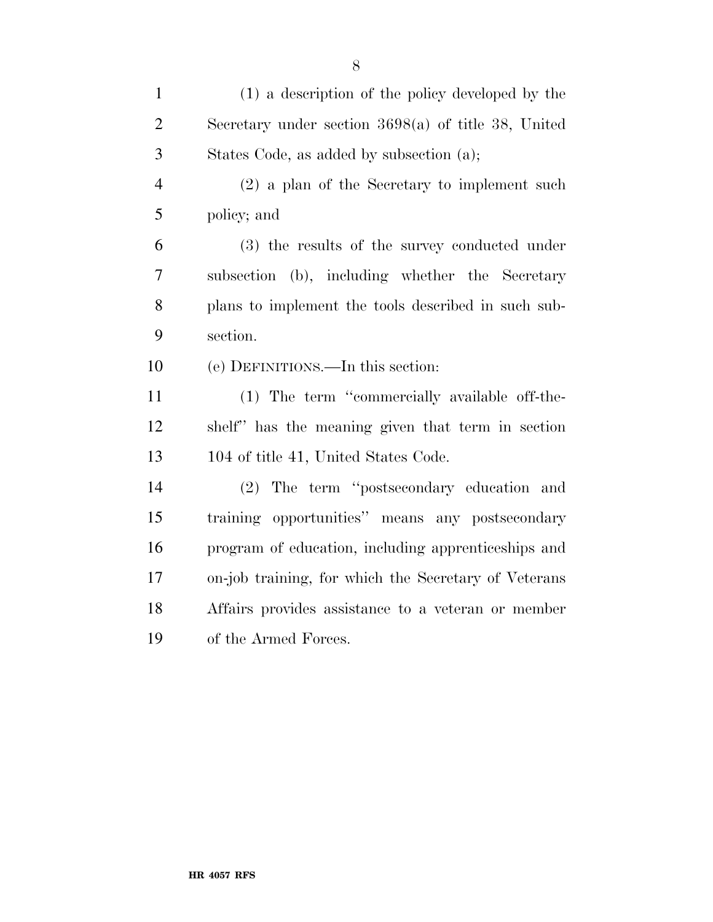| $\mathbf{1}$   | (1) a description of the policy developed by the      |
|----------------|-------------------------------------------------------|
| $\mathbf{2}$   | Secretary under section $3698(a)$ of title 38, United |
| 3              | States Code, as added by subsection (a);              |
| $\overline{4}$ | $(2)$ a plan of the Secretary to implement such       |
| 5              | policy; and                                           |
| 6              | (3) the results of the survey conducted under         |
| $\tau$         | subsection (b), including whether the Secretary       |
| $8\,$          | plans to implement the tools described in such sub-   |
| 9              | section.                                              |
| 10             | (e) DEFINITIONS.—In this section:                     |
| 11             | (1) The term "commercially available off-the-         |
| 12             | shelf" has the meaning given that term in section     |
| 13             | 104 of title 41, United States Code.                  |
| 14             | (2) The term "postsecondary education and             |
| 15             | training opportunities" means any postsecondary       |
| 16             | program of education, including apprenticeships and   |
| 17             | on-job training, for which the Secretary of Veterans  |
| 18             | Affairs provides assistance to a veteran or member    |
| 19             | of the Armed Forces.                                  |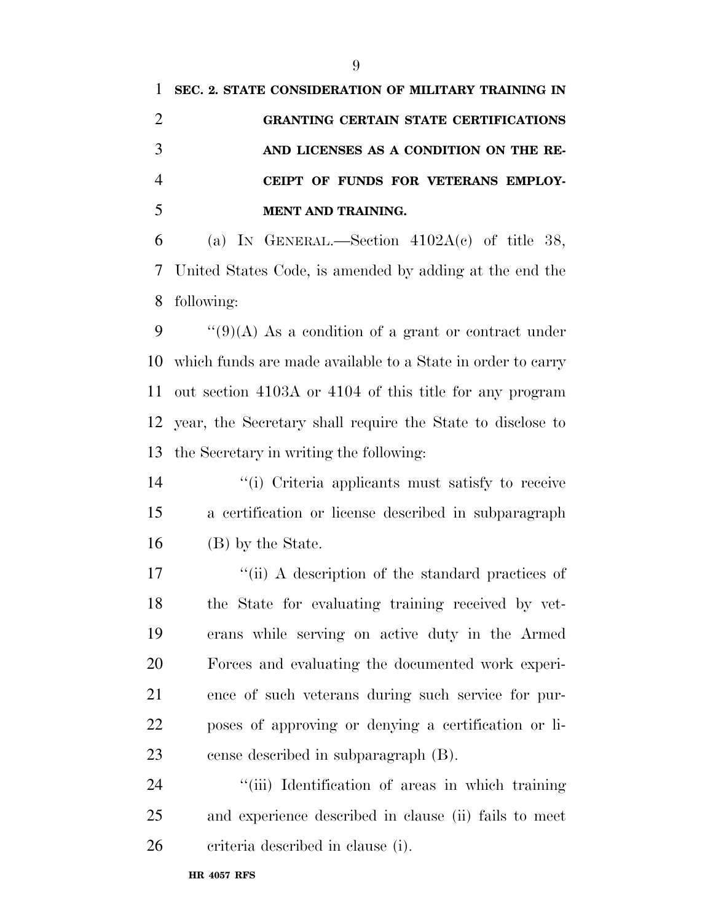|                | SEC. 2. STATE CONSIDERATION OF MILITARY TRAINING IN       |
|----------------|-----------------------------------------------------------|
| 2              | <b>GRANTING CERTAIN STATE CERTIFICATIONS</b>              |
| 3              | AND LICENSES AS A CONDITION ON THE RE-                    |
| $\overline{4}$ | CEIPT OF FUNDS FOR VETERANS EMPLOY-                       |
|                | <b>MENT AND TRAINING.</b>                                 |
| 6              | (a) IN GENERAL.—Section $4102A(c)$ of title 38,           |
|                | 7 United States Code, is amended by adding at the end the |
|                |                                                           |

following:

 $\cdot$  "(9)(A) As a condition of a grant or contract under which funds are made available to a State in order to carry out section 4103A or 4104 of this title for any program year, the Secretary shall require the State to disclose to the Secretary in writing the following:

 ''(i) Criteria applicants must satisfy to receive a certification or license described in subparagraph (B) by the State.

17 ''(ii) A description of the standard practices of the State for evaluating training received by vet- erans while serving on active duty in the Armed Forces and evaluating the documented work experi- ence of such veterans during such service for pur- poses of approving or denying a certification or li-cense described in subparagraph (B).

24 ''(iii) Identification of areas in which training and experience described in clause (ii) fails to meet criteria described in clause (i).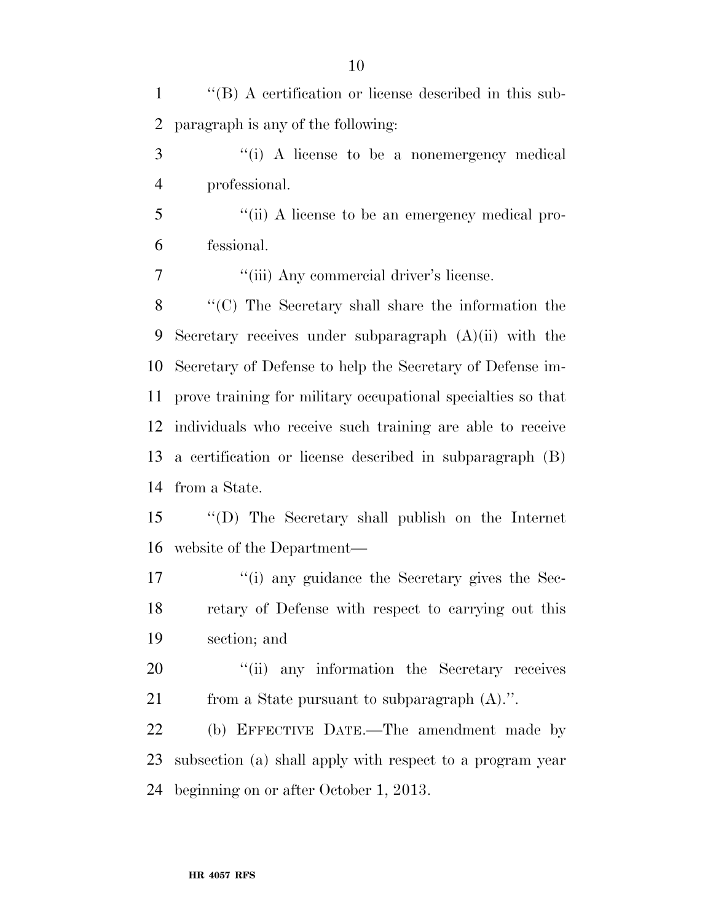| $\mathbf{1}$   | $\lq$ <sup>*</sup> (B) A certification or license described in this sub- |
|----------------|--------------------------------------------------------------------------|
| 2              | paragraph is any of the following:                                       |
| 3              | "(i) A license to be a nonemergency medical                              |
| $\overline{4}$ | professional.                                                            |
| 5              | "(ii) A license to be an emergency medical pro-                          |
| 6              | fessional.                                                               |
| 7              | "(iii) Any commercial driver's license.                                  |
| 8              | "(C) The Secretary shall share the information the                       |
| 9              | Secretary receives under subparagraph $(A)(ii)$ with the                 |
| 10             | Secretary of Defense to help the Secretary of Defense im-                |
| 11             | prove training for military occupational specialties so that             |
| 12             | individuals who receive such training are able to receive                |
| 13             | a certification or license described in subparagraph (B)                 |
| 14             | from a State.                                                            |
| 15             | $\lq\lq$ . The Secretary shall publish on the Internet                   |
| 16             | website of the Department—                                               |
| 17             | "(i) any guidance the Secretary gives the Sec-                           |
| 18             | retary of Defense with respect to carrying out this                      |
| 19             | section; and                                                             |
| 20             | "(ii) any information the Secretary receives                             |
| 21             | from a State pursuant to subparagraph $(A)$ .".                          |
| 22             | (b) EFFECTIVE DATE.—The amendment made by                                |
| 23             | subsection (a) shall apply with respect to a program year                |
| 24             | beginning on or after October 1, 2013.                                   |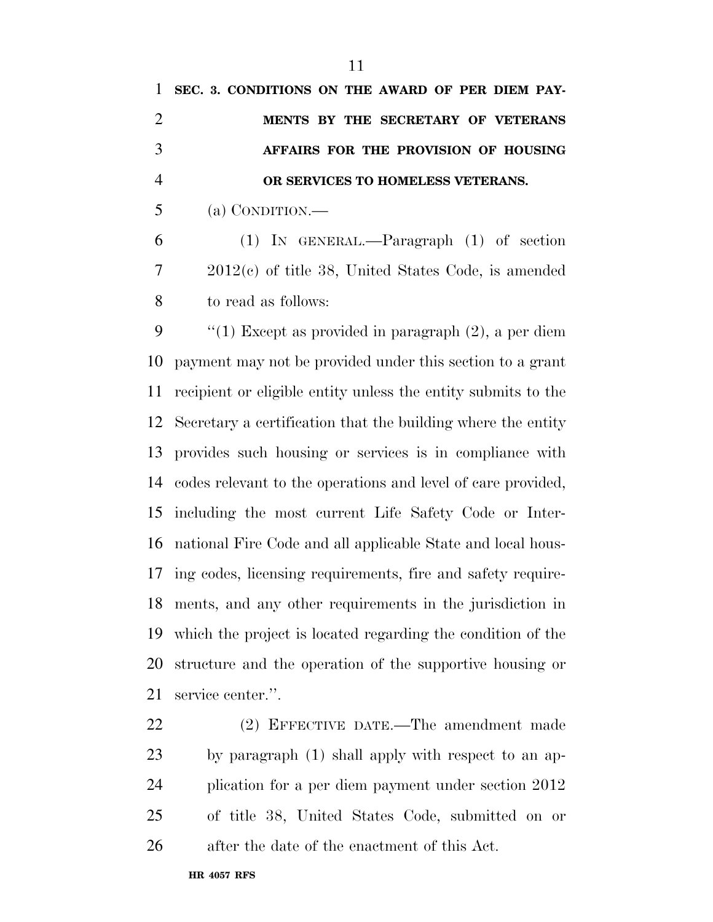**OR SERVICES TO HOMELESS VETERANS.** 

(a) CONDITION.—

 (1) IN GENERAL.—Paragraph (1) of section 2012(c) of title 38, United States Code, is amended to read as follows:

 ''(1) Except as provided in paragraph (2), a per diem payment may not be provided under this section to a grant recipient or eligible entity unless the entity submits to the Secretary a certification that the building where the entity provides such housing or services is in compliance with codes relevant to the operations and level of care provided, including the most current Life Safety Code or Inter- national Fire Code and all applicable State and local hous- ing codes, licensing requirements, fire and safety require- ments, and any other requirements in the jurisdiction in which the project is located regarding the condition of the structure and the operation of the supportive housing or service center.''.

 (2) EFFECTIVE DATE.—The amendment made by paragraph (1) shall apply with respect to an ap- plication for a per diem payment under section 2012 of title 38, United States Code, submitted on or after the date of the enactment of this Act.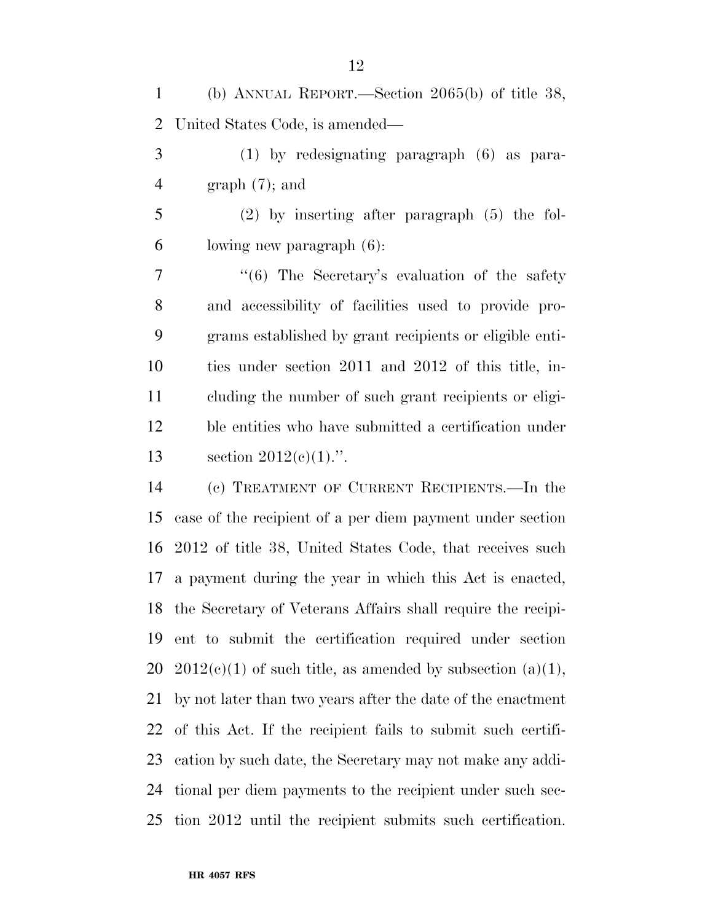(b) ANNUAL REPORT.—Section 2065(b) of title 38, United States Code, is amended—

 (1) by redesignating paragraph (6) as para-graph (7); and

 (2) by inserting after paragraph (5) the fol-lowing new paragraph (6):

7 "'(6) The Secretary's evaluation of the safety and accessibility of facilities used to provide pro- grams established by grant recipients or eligible enti- ties under section 2011 and 2012 of this title, in- cluding the number of such grant recipients or eligi- ble entities who have submitted a certification under section 2012(c)(1).''.

 (c) TREATMENT OF CURRENT RECIPIENTS.—In the case of the recipient of a per diem payment under section 2012 of title 38, United States Code, that receives such a payment during the year in which this Act is enacted, the Secretary of Veterans Affairs shall require the recipi- ent to submit the certification required under section 20 2012(c)(1) of such title, as amended by subsection (a)(1), by not later than two years after the date of the enactment of this Act. If the recipient fails to submit such certifi- cation by such date, the Secretary may not make any addi- tional per diem payments to the recipient under such sec-tion 2012 until the recipient submits such certification.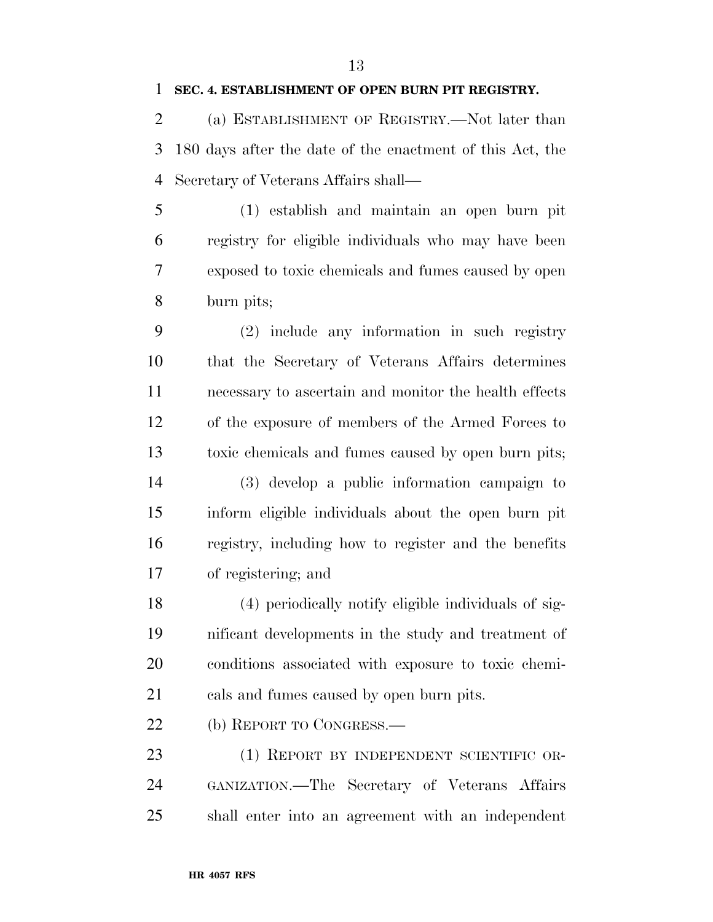(a) ESTABLISHMENT OF REGISTRY.—Not later than 180 days after the date of the enactment of this Act, the Secretary of Veterans Affairs shall—

 (1) establish and maintain an open burn pit registry for eligible individuals who may have been exposed to toxic chemicals and fumes caused by open burn pits;

 (2) include any information in such registry that the Secretary of Veterans Affairs determines necessary to ascertain and monitor the health effects of the exposure of members of the Armed Forces to toxic chemicals and fumes caused by open burn pits;

 (3) develop a public information campaign to inform eligible individuals about the open burn pit registry, including how to register and the benefits of registering; and

 (4) periodically notify eligible individuals of sig- nificant developments in the study and treatment of conditions associated with exposure to toxic chemi-cals and fumes caused by open burn pits.

22 (b) REPORT TO CONGRESS.

23 (1) REPORT BY INDEPENDENT SCIENTIFIC OR- GANIZATION.—The Secretary of Veterans Affairs shall enter into an agreement with an independent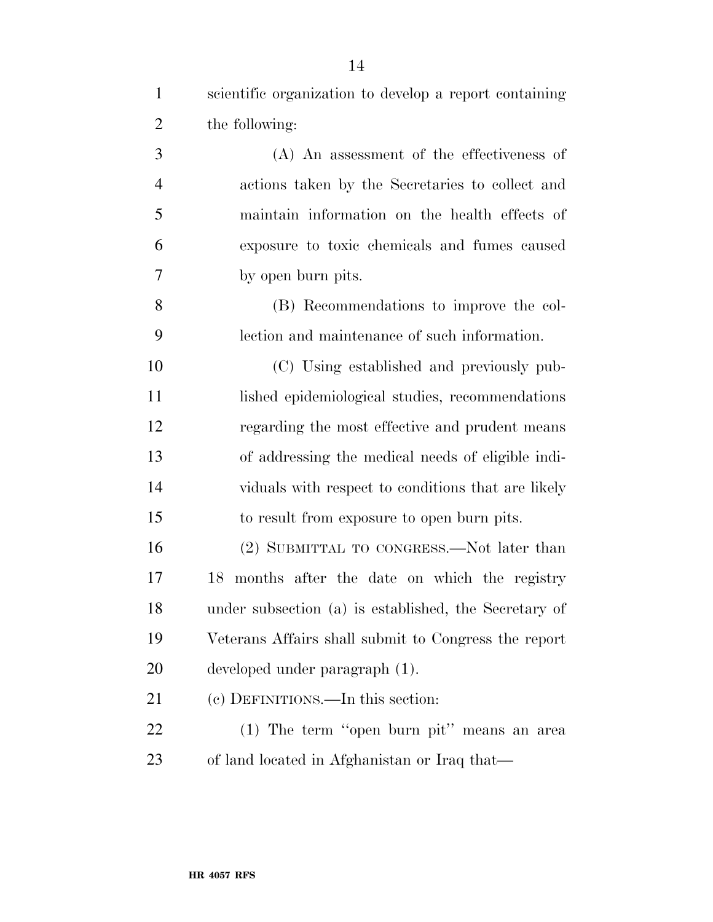| $\mathbf{1}$   | scientific organization to develop a report containing |
|----------------|--------------------------------------------------------|
| $\overline{2}$ | the following:                                         |
| 3              | $(A)$ An assessment of the effectiveness of            |
| $\overline{4}$ | actions taken by the Secretaries to collect and        |
| 5              | maintain information on the health effects of          |
| 6              | exposure to toxic chemicals and fumes caused           |
| 7              | by open burn pits.                                     |
| 8              | (B) Recommendations to improve the col-                |
| 9              | lection and maintenance of such information.           |
| 10             | (C) Using established and previously pub-              |
| 11             | lished epidemiological studies, recommendations        |
| 12             | regarding the most effective and prudent means         |
| 13             | of addressing the medical needs of eligible indi-      |
| 14             | viduals with respect to conditions that are likely     |
| 15             | to result from exposure to open burn pits.             |
| 16             | (2) SUBMITTAL TO CONGRESS.—Not later than              |
| 17             | 18 months after the date on which the registry         |
| 18             | under subsection (a) is established, the Secretary of  |
| 19             | Veterans Affairs shall submit to Congress the report   |
| 20             | developed under paragraph (1).                         |
| 21             | (c) DEFINITIONS.—In this section:                      |
| 22             | (1) The term "open burn pit" means an area             |
| 23             | of land located in Afghanistan or Iraq that—           |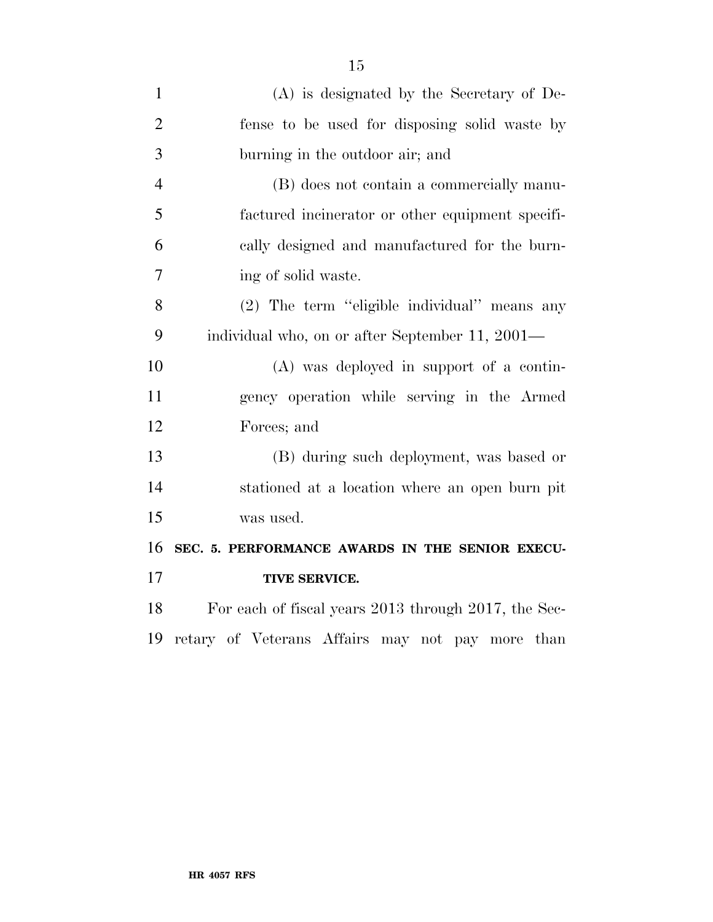| $\mathbf{1}$   | $(A)$ is designated by the Secretary of De-          |
|----------------|------------------------------------------------------|
| $\overline{2}$ | fense to be used for disposing solid waste by        |
| 3              | burning in the outdoor air; and                      |
| $\overline{4}$ | (B) does not contain a commercially manu-            |
| 5              | factured incinerator or other equipment specifi-     |
| 6              | cally designed and manufactured for the burn-        |
| 7              | ing of solid waste.                                  |
| 8              | (2) The term "eligible individual" means any         |
| 9              | individual who, on or after September 11, 2001—      |
| 10             | (A) was deployed in support of a contin-             |
| 11             | gency operation while serving in the Armed           |
| 12             | Forces; and                                          |
| 13             | (B) during such deployment, was based or             |
| 14             | stationed at a location where an open burn pit       |
| 15             | was used.                                            |
| 16             | SEC. 5. PERFORMANCE AWARDS IN THE SENIOR EXECU-      |
| 17             | TIVE SERVICE.                                        |
| 18             | For each of fiscal years 2013 through 2017, the Sec- |
| 19             | retary of Veterans Affairs may not pay more than     |